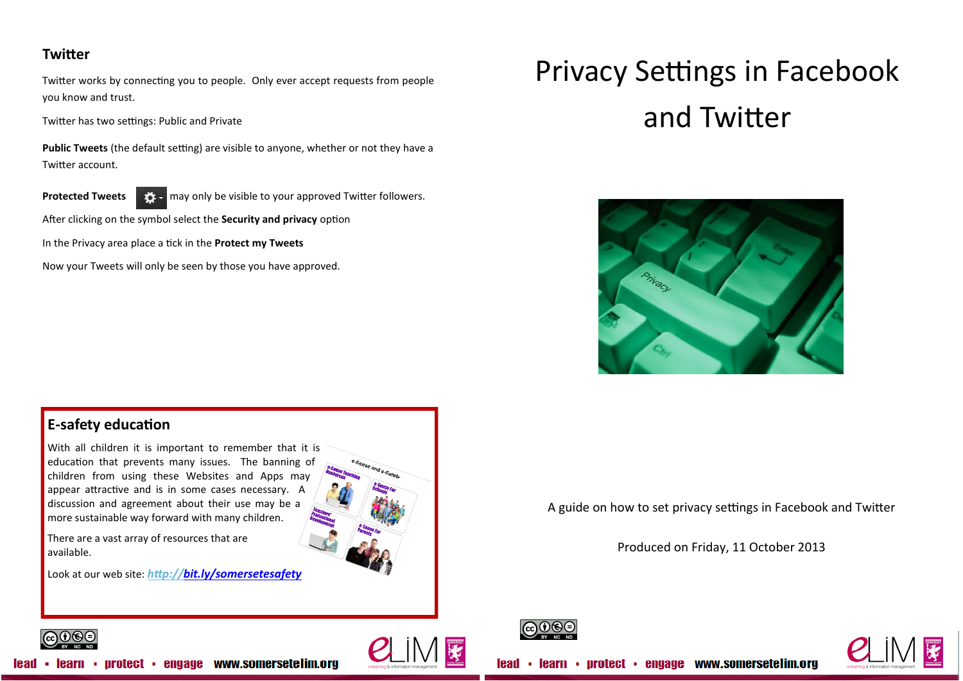## **Twitter**

Twitter works by connecting you to people. Only ever accept requests from people you know and trust.

Twitter has two settings: Public and Private

**Public Tweets** (the default setting) are visible to anyone, whether or not they have a Twitter account.



**Protected Tweets at the visible to your approved Twitter followers.** 

After clicking on the symbol select the **Security and privacy** option

In the Privacy area place a tick in the **Protect my Tweets** 

Now your Tweets will only be seen by those you have approved.

# Privacy Settings in Facebook and Twitter



## **E-safety education**

With all children it is important to remember that it is education that prevents many issues. The banning of children from using these Websites and Apps may appear attractive and is in some cases necessary. A discussion and agreement about their use may be a more sustainable way forward with many children.

There are a vast array of resources that are available.

Look at our web site: *<http://bit.ly/somersetesafety>*





Produced on Friday, 11 October 2013





 $\Theta$